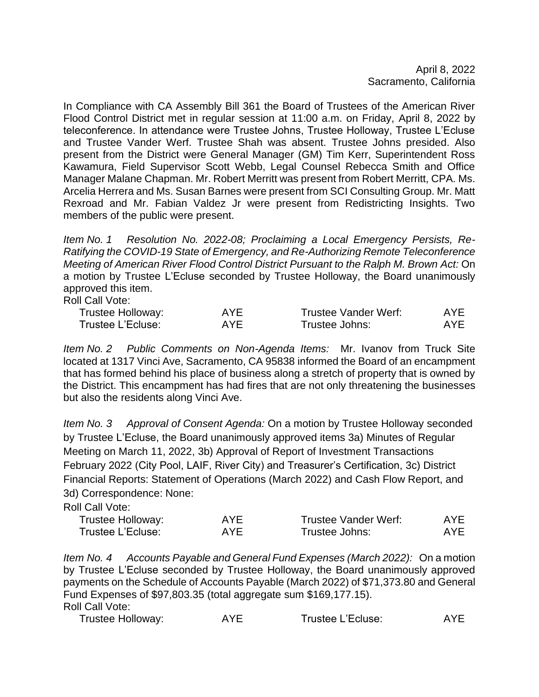April 8, 2022 Sacramento, California

In Compliance with CA Assembly Bill 361 the Board of Trustees of the American River Flood Control District met in regular session at 11:00 a.m. on Friday, April 8, 2022 by teleconference. In attendance were Trustee Johns, Trustee Holloway, Trustee L'Ecluse and Trustee Vander Werf. Trustee Shah was absent. Trustee Johns presided. Also present from the District were General Manager (GM) Tim Kerr, Superintendent Ross Kawamura, Field Supervisor Scott Webb, Legal Counsel Rebecca Smith and Office Manager Malane Chapman. Mr. Robert Merritt was present from Robert Merritt, CPA. Ms. Arcelia Herrera and Ms. Susan Barnes were present from SCI Consulting Group. Mr. Matt Rexroad and Mr. Fabian Valdez Jr were present from Redistricting Insights. Two members of the public were present.

*Item No. 1 Resolution No. 2022-08; Proclaiming a Local Emergency Persists, Re-Ratifying the COVID-19 State of Emergency, and Re-Authorizing Remote Teleconference Meeting of American River Flood Control District Pursuant to the Ralph M. Brown Act:* On a motion by Trustee L'Ecluse seconded by Trustee Holloway, the Board unanimously approved this item.

Roll Call Vote:

| Trustee Holloway: | AYF | Trustee Vander Werf: | AYE |
|-------------------|-----|----------------------|-----|
| Trustee L'Ecluse: | AYF | Trustee Johns:       | AYE |

*Item No. 2 Public Comments on Non-Agenda Items:* Mr. Ivanov from Truck Site located at 1317 Vinci Ave, Sacramento, CA 95838 informed the Board of an encampment that has formed behind his place of business along a stretch of property that is owned by the District. This encampment has had fires that are not only threatening the businesses but also the residents along Vinci Ave.

*Item No. 3 Approval of Consent Agenda:* On a motion by Trustee Holloway seconded by Trustee L'Ecluse, the Board unanimously approved items 3a) Minutes of Regular Meeting on March 11, 2022, 3b) Approval of Report of Investment Transactions February 2022 (City Pool, LAIF, River City) and Treasurer's Certification, 3c) District Financial Reports: Statement of Operations (March 2022) and Cash Flow Report, and 3d) Correspondence: None:

Roll Call Vote:

| Trustee Holloway: | AYF | <b>Trustee Vander Werf:</b> | AYE |
|-------------------|-----|-----------------------------|-----|
| Trustee L'Ecluse: | AYF | Trustee Johns:              | AYF |

*Item No. 4 Accounts Payable and General Fund Expenses (March 2022):* On a motion by Trustee L'Ecluse seconded by Trustee Holloway, the Board unanimously approved payments on the Schedule of Accounts Payable (March 2022) of \$71,373.80 and General Fund Expenses of \$97,803.35 (total aggregate sum \$169,177.15). Roll Call Vote:

| Trustee Holloway: | <b>AYE</b> | Trustee L'Ecluse: | AYE. |
|-------------------|------------|-------------------|------|
|-------------------|------------|-------------------|------|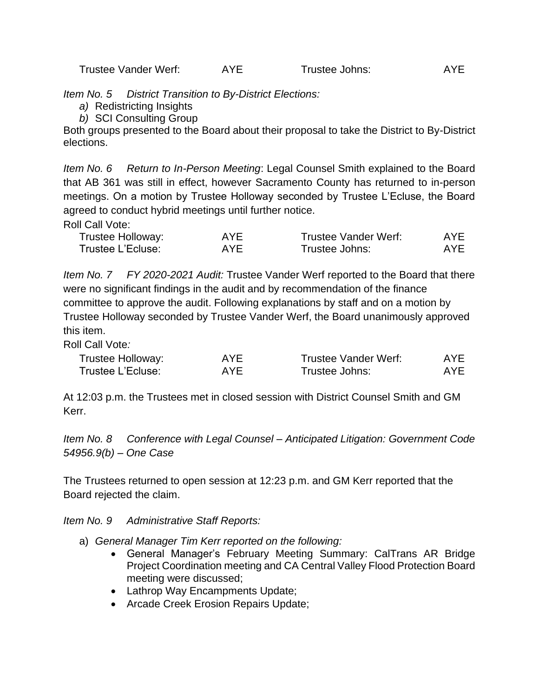*Item No. 5 District Transition to By-District Elections:*

- *a)* Redistricting Insights
- *b)* SCI Consulting Group

Both groups presented to the Board about their proposal to take the District to By-District elections.

*Item No. 6 Return to In-Person Meeting*: Legal Counsel Smith explained to the Board that AB 361 was still in effect, however Sacramento County has returned to in-person meetings. On a motion by Trustee Holloway seconded by Trustee L'Ecluse, the Board agreed to conduct hybrid meetings until further notice.

Roll Call Vote:

| Trustee Holloway: | AYE. | Trustee Vander Werf: | AYE |
|-------------------|------|----------------------|-----|
| Trustee L'Ecluse: | AYE  | Trustee Johns:       | AYF |

*Item No. 7 FY 2020-2021 Audit:* Trustee Vander Werf reported to the Board that there were no significant findings in the audit and by recommendation of the finance committee to approve the audit. Following explanations by staff and on a motion by Trustee Holloway seconded by Trustee Vander Werf, the Board unanimously approved this item.

Roll Call Vote*:*

| Trustee Holloway: | AYE. | Trustee Vander Werf: | AYE. |
|-------------------|------|----------------------|------|
| Trustee L'Ecluse: | AYE. | Trustee Johns:       | AYE. |

At 12:03 p.m. the Trustees met in closed session with District Counsel Smith and GM Kerr.

*Item No. 8 Conference with Legal Counsel – Anticipated Litigation: Government Code 54956.9(b) – One Case*

The Trustees returned to open session at 12:23 p.m. and GM Kerr reported that the Board rejected the claim.

*Item No. 9 Administrative Staff Reports:*

- a) *General Manager Tim Kerr reported on the following:*
	- General Manager's February Meeting Summary: CalTrans AR Bridge Project Coordination meeting and CA Central Valley Flood Protection Board meeting were discussed;
	- Lathrop Way Encampments Update;
	- Arcade Creek Erosion Repairs Update;